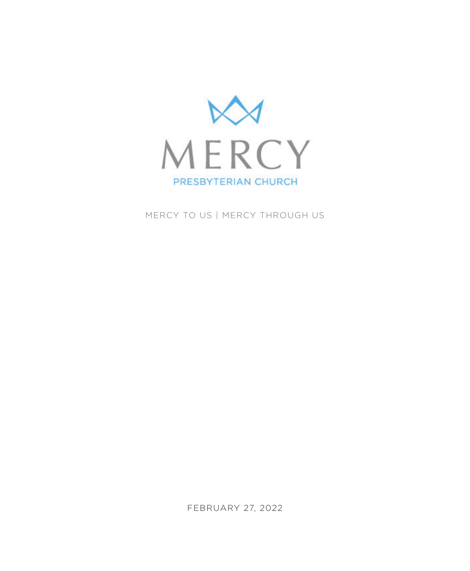

MERCY TO US | MERCY THROUGH US

FEBRUARY 27, 2022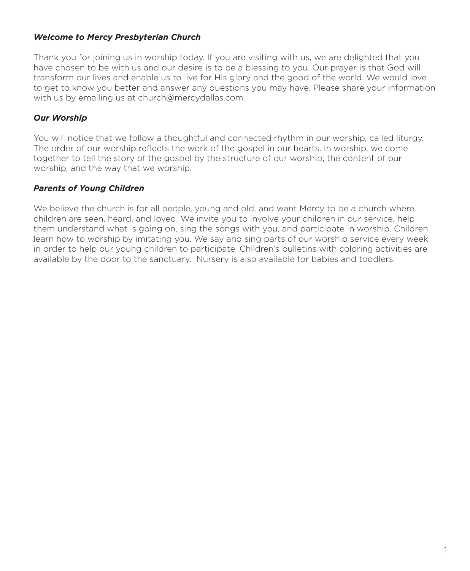## *Welcome to Mercy Presbyterian Church*

Thank you for joining us in worship today. If you are visiting with us, we are delighted that you have chosen to be with us and our desire is to be a blessing to you. Our prayer is that God will transform our lives and enable us to live for His glory and the good of the world. We would love to get to know you better and answer any questions you may have. Please share your information with us by emailing us at church@mercydallas.com.

## *Our Worship*

You will notice that we follow a thoughtful and connected rhythm in our worship, called liturgy. The order of our worship reflects the work of the gospel in our hearts. In worship, we come together to tell the story of the gospel by the structure of our worship, the content of our worship, and the way that we worship.

## *Parents of Young Children*

We believe the church is for all people, young and old, and want Mercy to be a church where children are seen, heard, and loved. We invite you to involve your children in our service, help them understand what is going on, sing the songs with you, and participate in worship. Children learn how to worship by imitating you. We say and sing parts of our worship service every week in order to help our young children to participate. Children's bulletins with coloring activities are available by the door to the sanctuary. Nursery is also available for babies and toddlers.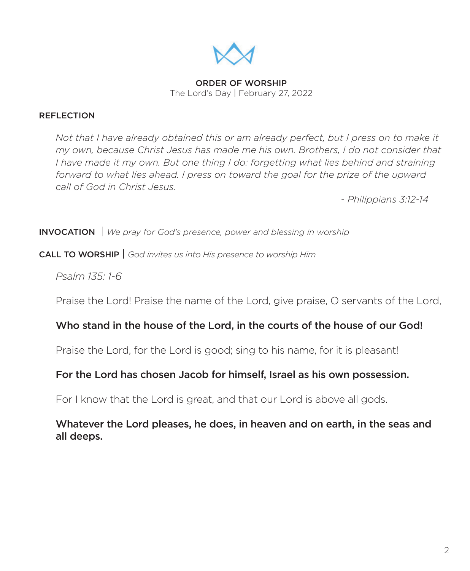

ORDER OF WORSHIP The Lord's Day | February 27, 2022

## REFLECTION

*Not that I have already obtained this or am already perfect, but I press on to make it my own, because Christ Jesus has made me his own. Brothers, I do not consider that I have made it my own. But one thing I do: forgetting what lies behind and straining forward to what lies ahead. I press on toward the goal for the prize of the upward call of God in Christ Jesus.* 

 *- Philippians 3:12-14*

INVOCATION | *We pray for God's presence, power and blessing in worship*

CALL TO WORSHIP | *God invites us into His presence to worship Him* 

*Psalm 135: 1-6*

Praise the Lord! Praise the name of the Lord, give praise, O servants of the Lord,

# Who stand in the house of the Lord, in the courts of the house of our God!

Praise the Lord, for the Lord is good; sing to his name, for it is pleasant!

# For the Lord has chosen Jacob for himself, Israel as his own possession.

For I know that the Lord is great, and that our Lord is above all gods.

# Whatever the Lord pleases, he does, in heaven and on earth, in the seas and all deeps.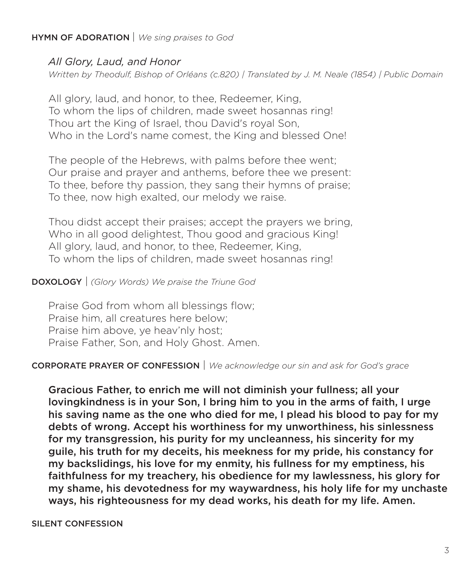## HYMN OF ADORATION | *We sing praises to God*

# *All Glory, Laud, and Honor*

*Written by Theodulf, Bishop of Orléans (c.820) | Translated by J. M. Neale (1854) | Public Domain*

All glory, laud, and honor, to thee, Redeemer, King, To whom the lips of children, made sweet hosannas ring! Thou art the King of Israel, thou David's royal Son, Who in the Lord's name comest, the King and blessed One!

The people of the Hebrews, with palms before thee went; Our praise and prayer and anthems, before thee we present: To thee, before thy passion, they sang their hymns of praise; To thee, now high exalted, our melody we raise.

Thou didst accept their praises; accept the prayers we bring, Who in all good delightest, Thou good and gracious King! All glory, laud, and honor, to thee, Redeemer, King, To whom the lips of children, made sweet hosannas ring!

## DOXOLOGY | *(Glory Words) We praise the Triune God*

Praise God from whom all blessings flow; Praise him, all creatures here below; Praise him above, ye heav'nly host; Praise Father, Son, and Holy Ghost. Amen.

# CORPORATE PRAYER OF CONFESSION | *We acknowledge our sin and ask for God's grace*

Gracious Father, to enrich me will not diminish your fullness; all your lovingkindness is in your Son, I bring him to you in the arms of faith, I urge his saving name as the one who died for me, I plead his blood to pay for my debts of wrong. Accept his worthiness for my unworthiness, his sinlessness for my transgression, his purity for my uncleanness, his sincerity for my guile, his truth for my deceits, his meekness for my pride, his constancy for my backslidings, his love for my enmity, his fullness for my emptiness, his faithfulness for my treachery, his obedience for my lawlessness, his glory for my shame, his devotedness for my waywardness, his holy life for my unchaste ways, his righteousness for my dead works, his death for my life. Amen.

### SILENT CONFESSION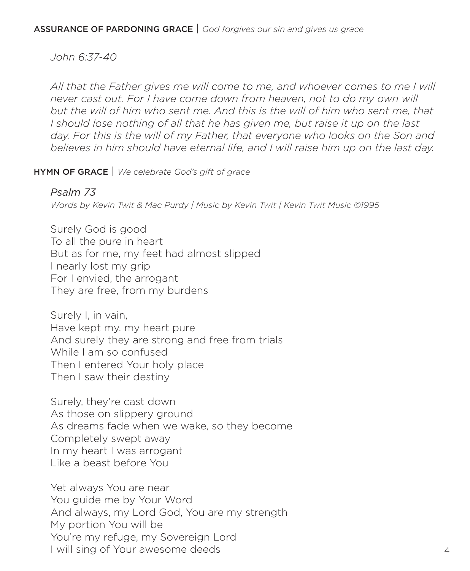*John 6:37-40*

*All that the Father gives me will come to me, and whoever comes to me I will never cast out. For I have come down from heaven, not to do my own will*  but the will of him who sent me. And this is the will of him who sent me, that *I should lose nothing of all that he has given me, but raise it up on the last day. For this is the will of my Father, that everyone who looks on the Son and believes in him should have eternal life, and I will raise him up on the last day.*

HYMN OF GRACE | *We celebrate God's gift of grace*

# *Psalm 73*

*Words by Kevin Twit & Mac Purdy | Music by Kevin Twit | Kevin Twit Music ©1995*

Surely God is good To all the pure in heart But as for me, my feet had almost slipped I nearly lost my grip For I envied, the arrogant They are free, from my burdens

Surely I, in vain, Have kept my, my heart pure And surely they are strong and free from trials While I am so confused Then I entered Your holy place Then I saw their destiny

Surely, they're cast down As those on slippery ground As dreams fade when we wake, so they become Completely swept away In my heart I was arrogant Like a beast before You

Yet always You are near You guide me by Your Word And always, my Lord God, You are my strength My portion You will be You're my refuge, my Sovereign Lord I will sing of Your awesome deeds 4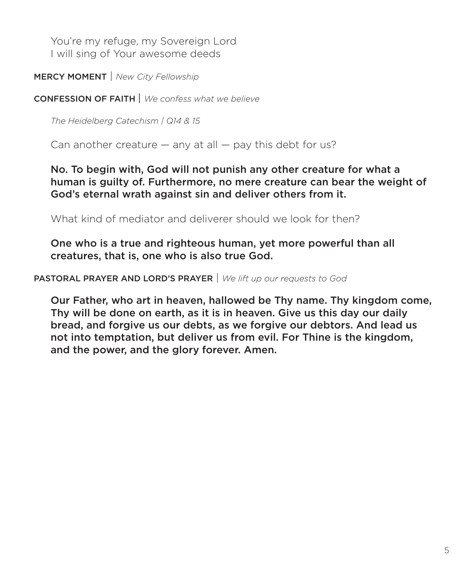You're my refuge, my Sovereign Lord I will sing of Your awesome deeds

MERCY MOMENT | *New City Fellowship*

CONFESSION OF FAITH | *We confess what we believe*

*The Heidelberg Catechism | Q14 & 15*

Can another creature  $-$  any at all  $-$  pay this debt for us?

No. To begin with, God will not punish any other creature for what a human is guilty of. Furthermore, no mere creature can bear the weight of God's eternal wrath against sin and deliver others from it.

What kind of mediator and deliverer should we look for then?

One who is a true and righteous human, yet more powerful than all creatures, that is, one who is also true God.

PASTORAL PRAYER AND LORD'S PRAYER | *We lift up our requests to God*

Our Father, who art in heaven, hallowed be Thy name. Thy kingdom come, Thy will be done on earth, as it is in heaven. Give us this day our daily bread, and forgive us our debts, as we forgive our debtors. And lead us not into temptation, but deliver us from evil. For Thine is the kingdom, and the power, and the glory forever. Amen.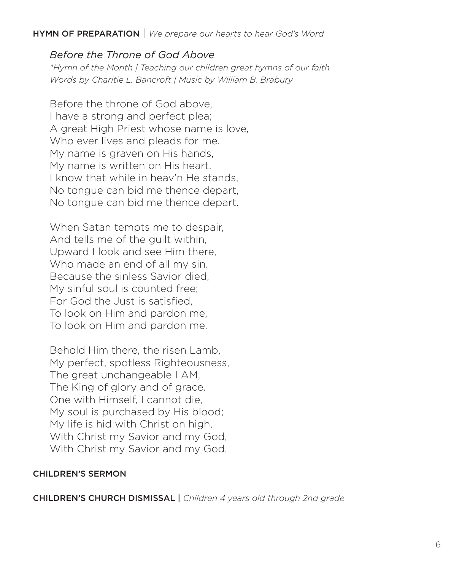## HYMN OF PREPARATION | *We prepare our hearts to hear God's Word*

# *Before the Throne of God Above*

*\*Hymn of the Month | Teaching our children great hymns of our faith Words by Charitie L. Bancroft | Music by William B. Brabury*

Before the throne of God above, I have a strong and perfect plea; A great High Priest whose name is love, Who ever lives and pleads for me. My name is graven on His hands, My name is written on His heart. I know that while in heav'n He stands, No tongue can bid me thence depart, No tongue can bid me thence depart.

When Satan tempts me to despair, And tells me of the guilt within, Upward I look and see Him there, Who made an end of all my sin. Because the sinless Savior died, My sinful soul is counted free; For God the Just is satisfied, To look on Him and pardon me, To look on Him and pardon me.

Behold Him there, the risen Lamb, My perfect, spotless Righteousness, The great unchangeable I AM, The King of glory and of grace. One with Himself, I cannot die, My soul is purchased by His blood; My life is hid with Christ on high, With Christ my Savior and my God, With Christ my Savior and my God.

## CHILDREN'S SERMON

CHILDREN'S CHURCH DISMISSAL | *Children 4 years old through 2nd grade*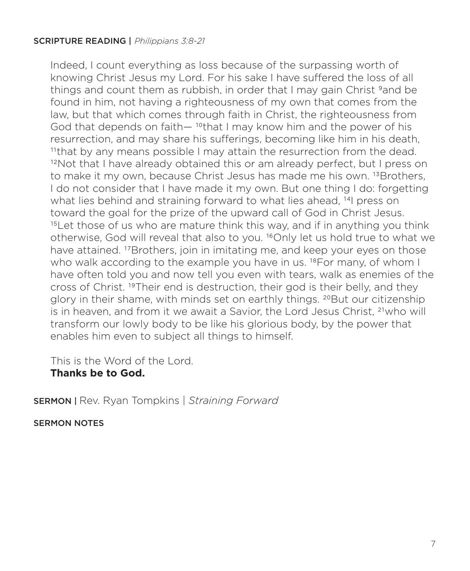## SCRIPTURE READING | *Philippians 3:8-21*

Indeed, I count everything as loss because of the surpassing worth of knowing Christ Jesus my Lord. For his sake I have suffered the loss of all things and count them as rubbish, in order that I may gain Christ <sup>9</sup>and be found in him, not having a righteousness of my own that comes from the law, but that which comes through faith in Christ, the righteousness from God that depends on faith—<sup>10</sup>that I may know him and the power of his resurrection, and may share his sufferings, becoming like him in his death, 11that by any means possible I may attain the resurrection from the dead. <sup>12</sup>Not that I have already obtained this or am already perfect, but I press on to make it my own, because Christ Jesus has made me his own. <sup>13</sup>Brothers, I do not consider that I have made it my own. But one thing I do: forgetting what lies behind and straining forward to what lies ahead, <sup>14</sup>l press on toward the goal for the prize of the upward call of God in Christ Jesus. <sup>15</sup>Let those of us who are mature think this way, and if in anything you think otherwise, God will reveal that also to you. 16Only let us hold true to what we have attained. <sup>17</sup>Brothers, join in imitating me, and keep your eyes on those who walk according to the example you have in us. <sup>18</sup>For many, of whom I have often told you and now tell you even with tears, walk as enemies of the cross of Christ. 19Their end is destruction, their god is their belly, and they glory in their shame, with minds set on earthly things. 20But our citizenship is in heaven, and from it we await a Savior, the Lord Jesus Christ, 21who will transform our lowly body to be like his glorious body, by the power that enables him even to subject all things to himself.

This is the Word of the Lord.

# **Thanks be to God.**

SERMON | Rev. Ryan Tompkins | *Straining Forward*

SERMON NOTES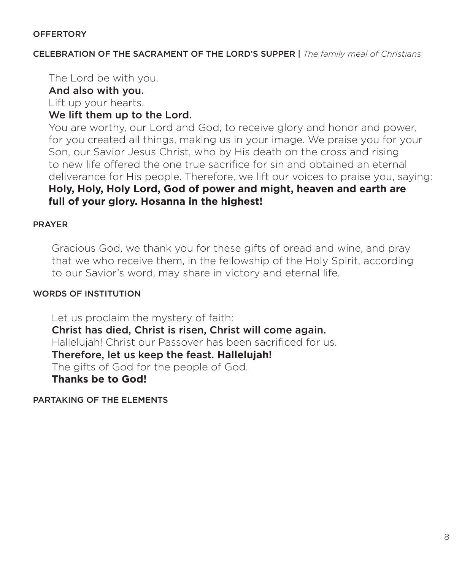## **OFFERTORY**

CELEBRATION OF THE SACRAMENT OF THE LORD'S SUPPER | *The family meal of Christians*

The Lord be with you.

# And also with you.

Lift up your hearts.

# We lift them up to the Lord.

 You are worthy, our Lord and God, to receive glory and honor and power, for you created all things, making us in your image. We praise you for your Son, our Savior Jesus Christ, who by His death on the cross and rising to new life offered the one true sacrifice for sin and obtained an eternal deliverance for His people. Therefore, we lift our voices to praise you, saying: **Holy, Holy, Holy Lord, God of power and might, heaven and earth are full of your glory. Hosanna in the highest!**

## PRAYER

 Gracious God, we thank you for these gifts of bread and wine, and pray that we who receive them, in the fellowship of the Holy Spirit, according to our Savior's word, may share in victory and eternal life.

## WORDS OF INSTITUTION

 Let us proclaim the mystery of faith: Christ has died, Christ is risen, Christ will come again. Hallelujah! Christ our Passover has been sacrificed for us. Therefore, let us keep the feast. **Hallelujah!**  The gifts of God for the people of God.  **Thanks be to God!** 

PARTAKING OF THE ELEMENTS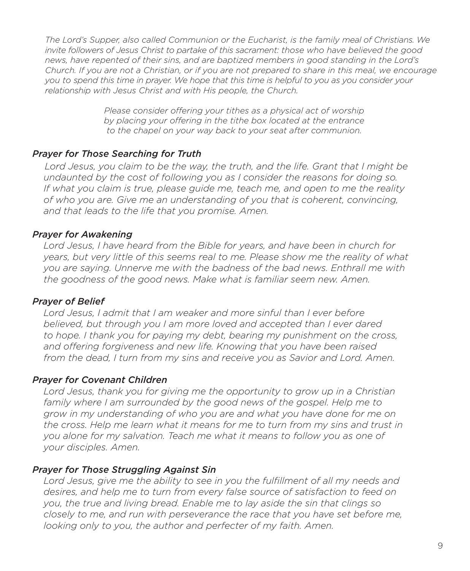*The Lord's Supper, also called Communion or the Eucharist, is the family meal of Christians. We invite followers of Jesus Christ to partake of this sacrament: those who have believed the good news, have repented of their sins, and are baptized members in good standing in the Lord's Church. If you are not a Christian, or if you are not prepared to share in this meal, we encourage you to spend this time in prayer. We hope that this time is helpful to you as you consider your relationship with Jesus Christ and with His people, the Church.*

> *Please consider offering your tithes as a physical act of worship by placing your offering in the tithe box located at the entrance to the chapel on your way back to your seat after communion.*

# *Prayer for Those Searching for Truth*

 *Lord Jesus, you claim to be the way, the truth, and the life. Grant that I might be undaunted by the cost of following you as I consider the reasons for doing so. If what you claim is true, please guide me, teach me, and open to me the reality of who you are. Give me an understanding of you that is coherent, convincing, and that leads to the life that you promise. Amen.*

# *Prayer for Awakening*

 *Lord Jesus, I have heard from the Bible for years, and have been in church for years, but very little of this seems real to me. Please show me the reality of what you are saying. Unnerve me with the badness of the bad news. Enthrall me with the goodness of the good news. Make what is familiar seem new. Amen.*

## *Prayer of Belief*

 *Lord Jesus, I admit that I am weaker and more sinful than I ever before believed, but through you I am more loved and accepted than I ever dared to hope. I thank you for paying my debt, bearing my punishment on the cross, and offering forgiveness and new life. Knowing that you have been raised from the dead, I turn from my sins and receive you as Savior and Lord. Amen.*

## *Prayer for Covenant Children*

 *Lord Jesus, thank you for giving me the opportunity to grow up in a Christian family where I am surrounded by the good news of the gospel. Help me to grow in my understanding of who you are and what you have done for me on the cross. Help me learn what it means for me to turn from my sins and trust in you alone for my salvation. Teach me what it means to follow you as one of your disciples. Amen.*

## *Prayer for Those Struggling Against Sin*

 *Lord Jesus, give me the ability to see in you the fulfillment of all my needs and desires, and help me to turn from every false source of satisfaction to feed on you, the true and living bread. Enable me to lay aside the sin that clings so closely to me, and run with perseverance the race that you have set before me, looking only to you, the author and perfecter of my faith. Amen.*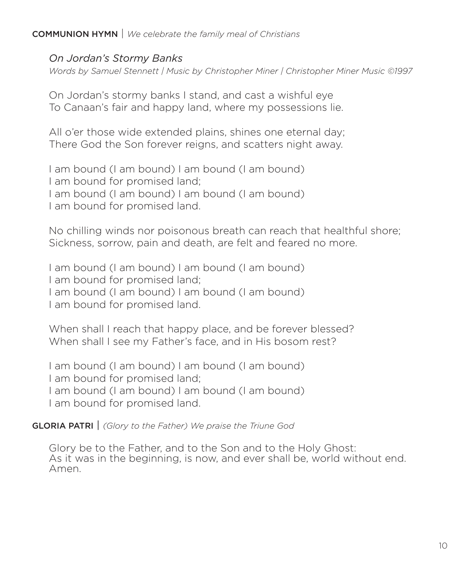# COMMUNION HYMN | *We celebrate the family meal of Christians*

## *On Jordan's Stormy Banks*

*Words by Samuel Stennett | Music by Christopher Miner | Christopher Miner Music ©1997*

On Jordan's stormy banks I stand, and cast a wishful eye To Canaan's fair and happy land, where my possessions lie.

All o'er those wide extended plains, shines one eternal day; There God the Son forever reigns, and scatters night away.

I am bound (I am bound) I am bound (I am bound) I am bound for promised land; I am bound (I am bound) I am bound (I am bound) I am bound for promised land.

No chilling winds nor poisonous breath can reach that healthful shore; Sickness, sorrow, pain and death, are felt and feared no more.

I am bound (I am bound) I am bound (I am bound) I am bound for promised land; I am bound (I am bound) I am bound (I am bound) I am bound for promised land.

When shall I reach that happy place, and be forever blessed? When shall I see my Father's face, and in His bosom rest?

I am bound (I am bound) I am bound (I am bound) I am bound for promised land; I am bound (I am bound) I am bound (I am bound) I am bound for promised land.

### GLORIA PATRI | *(Glory to the Father) We praise the Triune God*

Glory be to the Father, and to the Son and to the Holy Ghost: As it was in the beginning, is now, and ever shall be, world without end. Amen.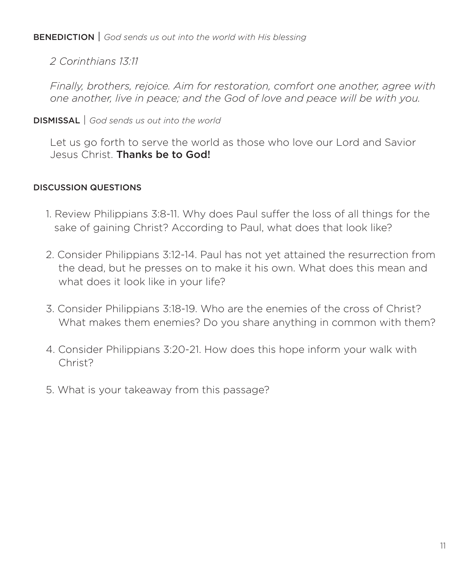BENEDICTION | *God sends us out into the world with His blessing*

*2 Corinthians 13:11*

*Finally, brothers, rejoice. Aim for restoration, comfort one another, agree with one another, live in peace; and the God of love and peace will be with you.*

# DISMISSAL | *God sends us out into the world*

Let us go forth to serve the world as those who love our Lord and Savior Jesus Christ. Thanks be to God!

# DISCUSSION QUESTIONS

- 1. Review Philippians 3:8-11. Why does Paul suffer the loss of all things for the sake of gaining Christ? According to Paul, what does that look like?
- 2. Consider Philippians 3:12-14. Paul has not yet attained the resurrection from the dead, but he presses on to make it his own. What does this mean and what does it look like in your life?
- 3. Consider Philippians 3:18-19. Who are the enemies of the cross of Christ? What makes them enemies? Do you share anything in common with them?
- 4. Consider Philippians 3:20-21. How does this hope inform your walk with Christ?
- 5. What is your takeaway from this passage?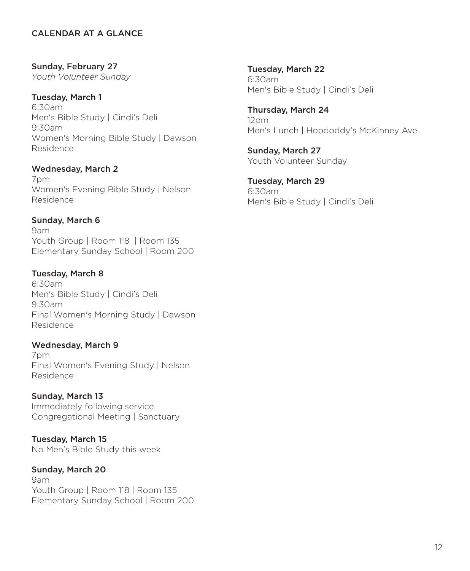## CALENDAR AT A GLANCE

Sunday, February 27 *Youth Volunteer Sunday*

### Tuesday, March 1

6:30am Men's Bible Study | Cindi's Deli 9:30am Women's Morning Bible Study | Dawson Residence

## Wednesday, March 2

7pm Women's Evening Bible Study | Nelson Residence

## Sunday, March 6

9am Youth Group | Room 118 | Room 135 Elementary Sunday School | Room 200

## Tuesday, March 8

6:30am Men's Bible Study | Cindi's Deli 9:30am Final Women's Morning Study | Dawson Residence

## Wednesday, March 9

7pm Final Women's Evening Study | Nelson Residence

## Sunday, March 13

Immediately following service Congregational Meeting | Sanctuary

Tuesday, March 15 No Men's Bible Study this week

# Sunday, March 20

9am Youth Group | Room 118 | Room 135 Elementary Sunday School | Room 200

Tuesday, March 22 6:30am Men's Bible Study | Cindi's Deli

Thursday, March 24 12pm Men's Lunch | Hopdoddy's McKinney Ave

Sunday, March 27 Youth Volunteer Sunday

Tuesday, March 29 6:30am Men's Bible Study | Cindi's Deli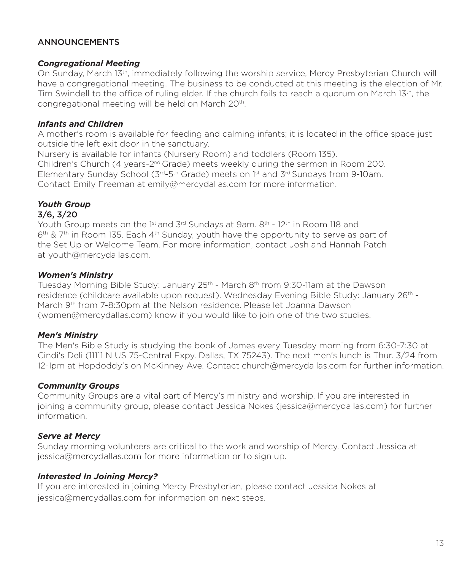## **ANNOUNCEMENTS**

#### *Congregational Meeting*

On Sunday, March 13th, immediately following the worship service, Mercy Presbyterian Church will have a congregational meeting. The business to be conducted at this meeting is the election of Mr. Tim Swindell to the office of ruling elder. If the church fails to reach a quorum on March 13<sup>th</sup>, the congregational meeting will be held on March 20<sup>th</sup>.

#### *Infants and Children*

A mother's room is available for feeding and calming infants; it is located in the office space just outside the left exit door in the sanctuary.

Nursery is available for infants (Nursery Room) and toddlers (Room 135). Children's Church (4 years-2<sup>nd</sup> Grade) meets weekly during the sermon in Room 200. Elementary Sunday School ( $3^{rd}$ -5<sup>th</sup> Grade) meets on 1<sup>st</sup> and  $3^{rd}$  Sundays from 9-10am. Contact Emily Freeman at emily@mercydallas.com for more information.

### *Youth Group*

#### 3/6, 3/20

Youth Group meets on the 1<sup>st</sup> and 3<sup>rd</sup> Sundays at 9am.  $8<sup>th</sup>$  - 12<sup>th</sup> in Room 118 and  $6<sup>th</sup>$  & 7<sup>th</sup> in Room 135. Each 4<sup>th</sup> Sunday, youth have the opportunity to serve as part of the Set Up or Welcome Team. For more information, contact Josh and Hannah Patch at youth@mercydallas.com.

#### *Women's Ministry*

Tuesday Morning Bible Study: January 25<sup>th</sup> - March 8<sup>th</sup> from 9:30-11am at the Dawson residence (childcare available upon request). Wednesday Evening Bible Study: January 26<sup>th</sup> -March 9th from 7-8:30pm at the Nelson residence. Please let Joanna Dawson (women@mercydallas.com) know if you would like to join one of the two studies.

### *Men's Ministry*

The Men's Bible Study is studying the book of James every Tuesday morning from 6:30-7:30 at Cindi's Deli (11111 N US 75-Central Expy. Dallas, TX 75243). The next men's lunch is Thur. 3/24 from 12-1pm at Hopdoddy's on McKinney Ave. Contact church@mercydallas.com for further information.

### *Community Groups*

Community Groups are a vital part of Mercy's ministry and worship. If you are interested in joining a community group, please contact Jessica Nokes (jessica@mercydallas.com) for further information.

### *Serve at Mercy*

Sunday morning volunteers are critical to the work and worship of Mercy. Contact Jessica at jessica@mercydallas.com for more information or to sign up.

### *Interested In Joining Mercy?*

If you are interested in joining Mercy Presbyterian, please contact Jessica Nokes at jessica@mercydallas.com for information on next steps.